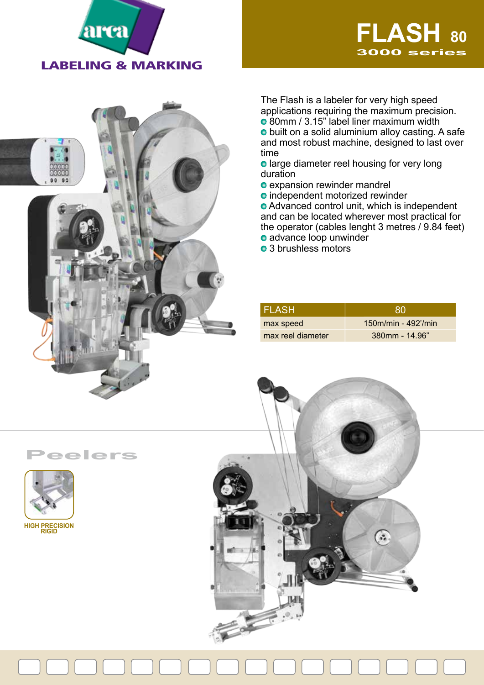



The Flash is a labeler for very high speed applications requiring the maximum precision. o 80mm / 3.15" label liner maximum width **o** built on a solid aluminium alloy casting. A safe and most robust machine, designed to last over time

**o** large diameter reel housing for very long duration

- expansion rewinder mandrel
- **o** independent motorized rewinder

**• Advanced control unit, which is independent** and can be located wherever most practical for the operator (cables lenght 3 metres / 9.84 feet) advance loop unwinder

• 3 brushless motors

| I FLASH.          | 80                    |
|-------------------|-----------------------|
| max speed         | $150m/min - 492'/min$ |
| max reel diameter | 380mm - 14.96"        |

**Peelers**



à.